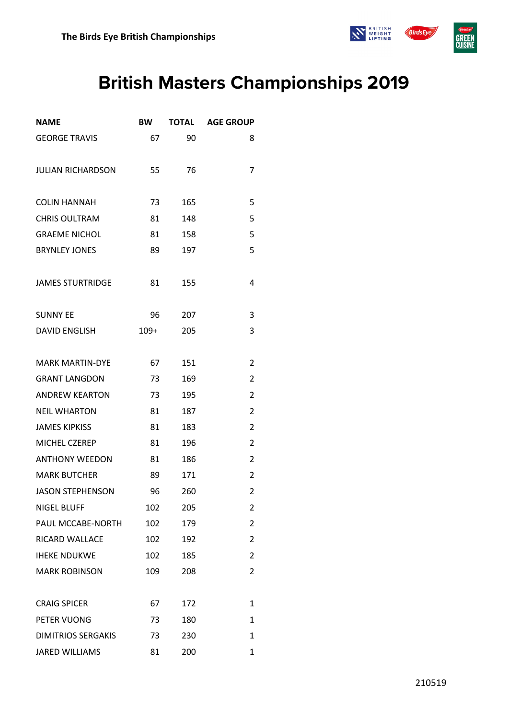

## **British Masters Championships 2019**

| <b>NAME</b>               | <b>BW</b> | <b>TOTAL</b> | <b>AGE GROUP</b> |
|---------------------------|-----------|--------------|------------------|
| <b>GEORGE TRAVIS</b>      | 67        | 90           | 8                |
| <b>JULIAN RICHARDSON</b>  | 55        | 76           | 7                |
| <b>COLIN HANNAH</b>       | 73        | 165          | 5                |
| <b>CHRIS OULTRAM</b>      | 81        | 148          | 5                |
| <b>GRAEME NICHOL</b>      | 81        | 158          | 5                |
| <b>BRYNLEY JONES</b>      | 89        | 197          | 5                |
| <b>JAMES STURTRIDGE</b>   | 81        | 155          | 4                |
| <b>SUNNY EE</b>           | 96        | 207          | 3                |
| <b>DAVID ENGLISH</b>      | $109+$    | 205          | 3                |
| <b>MARK MARTIN-DYE</b>    | 67        | 151          | $\overline{2}$   |
| <b>GRANT LANGDON</b>      | 73        | 169          | 2                |
| <b>ANDREW KEARTON</b>     | 73        | 195          | $\overline{2}$   |
| <b>NEIL WHARTON</b>       | 81        | 187          | 2                |
| <b>JAMES KIPKISS</b>      | 81        | 183          | 2                |
| MICHEL CZEREP             | 81        | 196          | $\overline{2}$   |
| <b>ANTHONY WEEDON</b>     | 81        | 186          | 2                |
| <b>MARK BUTCHER</b>       | 89        | 171          | 2                |
| <b>JASON STEPHENSON</b>   | 96        | 260          | 2                |
| <b>NIGEL BLUFF</b>        | 102       | 205          | 2                |
| PAUL MCCABE-NORTH         | 102       | 179          | 2                |
| RICARD WALLACE            | 102       | 192          | 2                |
| <b>IHEKE NDUKWE</b>       | 102       | 185          | $\overline{2}$   |
| <b>MARK ROBINSON</b>      | 109       | 208          | $\overline{2}$   |
| <b>CRAIG SPICER</b>       | 67        | 172          | 1                |
| PETER VUONG               | 73        | 180          | 1                |
| <b>DIMITRIOS SERGAKIS</b> | 73        | 230          | 1                |
| <b>JARED WILLIAMS</b>     | 81        | 200          | 1                |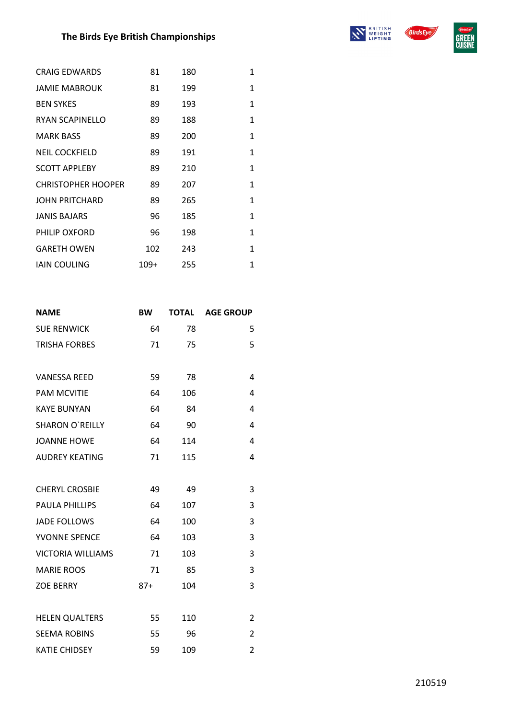## **The Birds Eye British Championships**





| 81   | 180 | 1            |
|------|-----|--------------|
| 81   | 199 | 1            |
| 89   | 193 | 1            |
| 89   | 188 | $\mathbf{1}$ |
| 89   | 200 | $\mathbf{1}$ |
| 89   | 191 | $\mathbf{1}$ |
| 89   | 210 | 1            |
| 89   | 207 | 1            |
| 89   | 265 | 1            |
| 96   | 185 | 1            |
| 96   | 198 | 1            |
| 102  | 243 | 1            |
| 109+ | 255 | 1            |
|      |     |              |

| <b>NAME</b>              | <b>BW</b> | <b>TOTAL</b> | <b>AGE GROUP</b> |
|--------------------------|-----------|--------------|------------------|
| <b>SUE RENWICK</b>       | 64        | 78           | 5                |
| <b>TRISHA FORBES</b>     | 71        | 75           | 5                |
|                          |           |              |                  |
| <b>VANESSA REED</b>      | 59        | 78           | 4                |
| <b>PAM MCVITIE</b>       | 64        | 106          | 4                |
| <b>KAYE BUNYAN</b>       | 64        | 84           | 4                |
| <b>SHARON O'REILLY</b>   | 64        | 90           | 4                |
| <b>JOANNE HOWE</b>       | 64        | 114          | 4                |
| <b>AUDREY KEATING</b>    | 71        | 115          | 4                |
|                          |           |              |                  |
| <b>CHERYL CROSBIE</b>    | 49        | 49           | 3                |
| <b>PAULA PHILLIPS</b>    | 64        | 107          | 3                |
| <b>JADE FOLLOWS</b>      | 64        | 100          | 3                |
| YVONNE SPENCE            | 64        | 103          | 3                |
| <b>VICTORIA WILLIAMS</b> | 71        | 103          | 3                |
| <b>MARIE ROOS</b>        | 71        | 85           | 3                |
| <b>ZOE BERRY</b>         | $87+$     | 104          | 3                |
|                          |           |              |                  |
| <b>HELEN QUALTERS</b>    | 55        | 110          | 2                |
| <b>SEEMA ROBINS</b>      | 55        | 96           | 2                |
| <b>KATIE CHIDSEY</b>     | 59        | 109          | 2                |